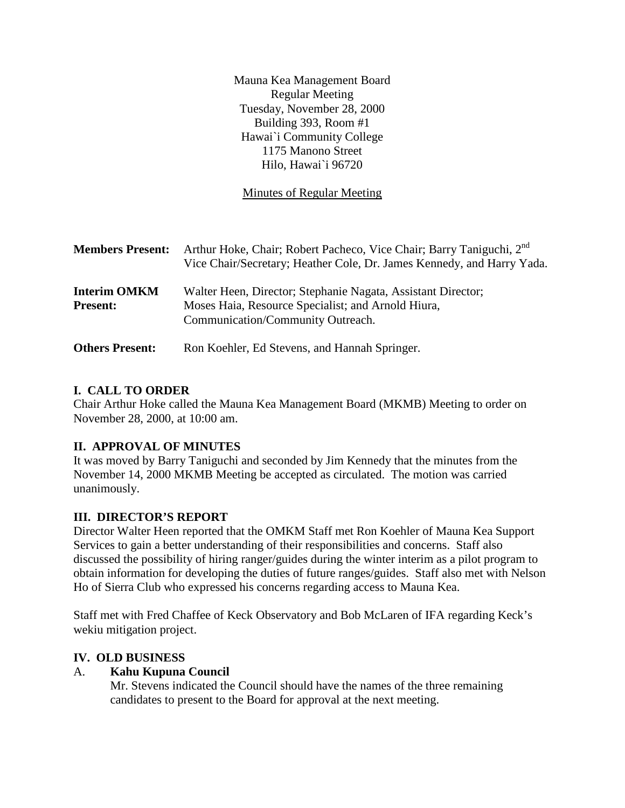Mauna Kea Management Board Regular Meeting Tuesday, November 28, 2000 Building 393, Room #1 Hawai`i Community College 1175 Manono Street Hilo, Hawai`i 96720

Minutes of Regular Meeting

| <b>Members Present:</b>                | Arthur Hoke, Chair; Robert Pacheco, Vice Chair; Barry Taniguchi, 2 <sup>nd</sup><br>Vice Chair/Secretary; Heather Cole, Dr. James Kennedy, and Harry Yada. |
|----------------------------------------|------------------------------------------------------------------------------------------------------------------------------------------------------------|
| <b>Interim OMKM</b><br><b>Present:</b> | Walter Heen, Director; Stephanie Nagata, Assistant Director;<br>Moses Haia, Resource Specialist; and Arnold Hiura,<br>Communication/Community Outreach.    |
| <b>Others Present:</b>                 | Ron Koehler, Ed Stevens, and Hannah Springer.                                                                                                              |

# **I. CALL TO ORDER**

Chair Arthur Hoke called the Mauna Kea Management Board (MKMB) Meeting to order on November 28, 2000, at 10:00 am.

# **II. APPROVAL OF MINUTES**

It was moved by Barry Taniguchi and seconded by Jim Kennedy that the minutes from the November 14, 2000 MKMB Meeting be accepted as circulated. The motion was carried unanimously.

# **III. DIRECTOR'S REPORT**

Director Walter Heen reported that the OMKM Staff met Ron Koehler of Mauna Kea Support Services to gain a better understanding of their responsibilities and concerns. Staff also discussed the possibility of hiring ranger/guides during the winter interim as a pilot program to obtain information for developing the duties of future ranges/guides. Staff also met with Nelson Ho of Sierra Club who expressed his concerns regarding access to Mauna Kea.

Staff met with Fred Chaffee of Keck Observatory and Bob McLaren of IFA regarding Keck's wekiu mitigation project.

# **IV. OLD BUSINESS**

### A. **Kahu Kupuna Council**

Mr. Stevens indicated the Council should have the names of the three remaining candidates to present to the Board for approval at the next meeting.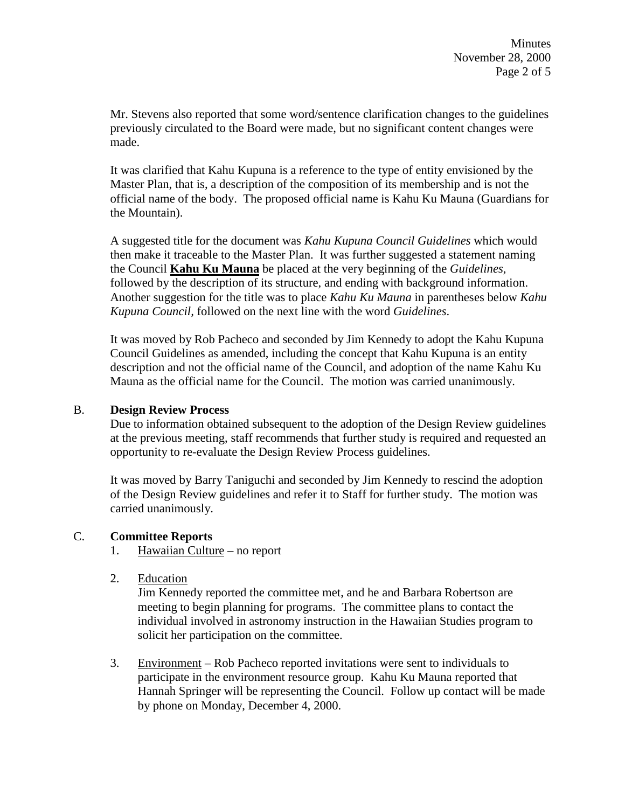Mr. Stevens also reported that some word/sentence clarification changes to the guidelines previously circulated to the Board were made, but no significant content changes were made.

It was clarified that Kahu Kupuna is a reference to the type of entity envisioned by the Master Plan, that is, a description of the composition of its membership and is not the official name of the body. The proposed official name is Kahu Ku Mauna (Guardians for the Mountain).

A suggested title for the document was *Kahu Kupuna Council Guidelines* which would then make it traceable to the Master Plan. It was further suggested a statement naming the Council **Kahu Ku Mauna** be placed at the very beginning of the *Guidelines*, followed by the description of its structure, and ending with background information. Another suggestion for the title was to place *Kahu Ku Mauna* in parentheses below *Kahu Kupuna Council,* followed on the next line with the word *Guidelines*.

It was moved by Rob Pacheco and seconded by Jim Kennedy to adopt the Kahu Kupuna Council Guidelines as amended, including the concept that Kahu Kupuna is an entity description and not the official name of the Council, and adoption of the name Kahu Ku Mauna as the official name for the Council. The motion was carried unanimously.

### B. **Design Review Process**

Due to information obtained subsequent to the adoption of the Design Review guidelines at the previous meeting, staff recommends that further study is required and requested an opportunity to re-evaluate the Design Review Process guidelines.

It was moved by Barry Taniguchi and seconded by Jim Kennedy to rescind the adoption of the Design Review guidelines and refer it to Staff for further study. The motion was carried unanimously.

# C. **Committee Reports**

- 1. Hawaiian Culture no report
- 2. Education

Jim Kennedy reported the committee met, and he and Barbara Robertson are meeting to begin planning for programs. The committee plans to contact the individual involved in astronomy instruction in the Hawaiian Studies program to solicit her participation on the committee.

3. Environment – Rob Pacheco reported invitations were sent to individuals to participate in the environment resource group. Kahu Ku Mauna reported that Hannah Springer will be representing the Council. Follow up contact will be made by phone on Monday, December 4, 2000.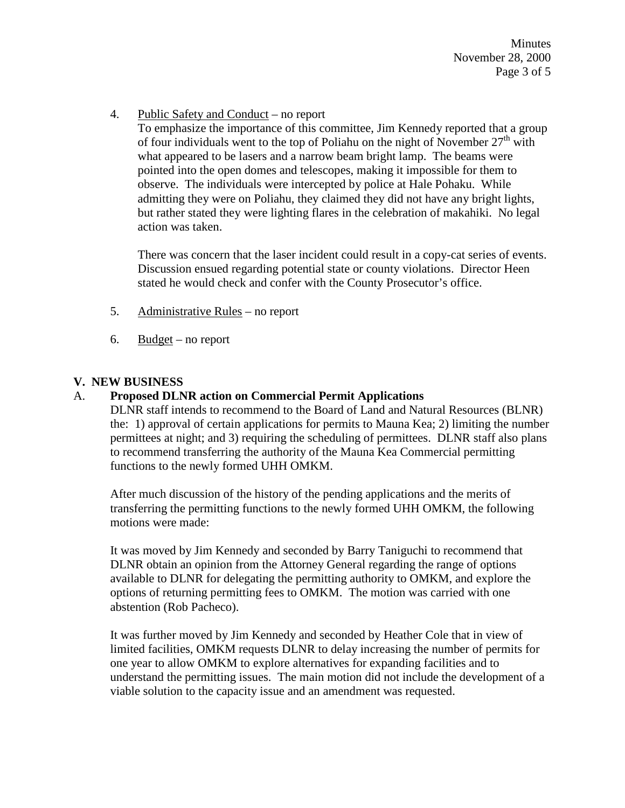**Minutes** November 28, 2000 Page 3 of 5

4. Public Safety and Conduct – no report

To emphasize the importance of this committee, Jim Kennedy reported that a group of four individuals went to the top of Poliahu on the night of November  $27<sup>th</sup>$  with what appeared to be lasers and a narrow beam bright lamp. The beams were pointed into the open domes and telescopes, making it impossible for them to observe. The individuals were intercepted by police at Hale Pohaku. While admitting they were on Poliahu, they claimed they did not have any bright lights, but rather stated they were lighting flares in the celebration of makahiki. No legal action was taken.

There was concern that the laser incident could result in a copy-cat series of events. Discussion ensued regarding potential state or county violations. Director Heen stated he would check and confer with the County Prosecutor's office.

- 5. Administrative Rules no report
- 6. Budget no report

# **V. NEW BUSINESS**

# A. **Proposed DLNR action on Commercial Permit Applications**

DLNR staff intends to recommend to the Board of Land and Natural Resources (BLNR) the: 1) approval of certain applications for permits to Mauna Kea; 2) limiting the number permittees at night; and 3) requiring the scheduling of permittees. DLNR staff also plans to recommend transferring the authority of the Mauna Kea Commercial permitting functions to the newly formed UHH OMKM.

After much discussion of the history of the pending applications and the merits of transferring the permitting functions to the newly formed UHH OMKM, the following motions were made:

It was moved by Jim Kennedy and seconded by Barry Taniguchi to recommend that DLNR obtain an opinion from the Attorney General regarding the range of options available to DLNR for delegating the permitting authority to OMKM, and explore the options of returning permitting fees to OMKM. The motion was carried with one abstention (Rob Pacheco).

It was further moved by Jim Kennedy and seconded by Heather Cole that in view of limited facilities, OMKM requests DLNR to delay increasing the number of permits for one year to allow OMKM to explore alternatives for expanding facilities and to understand the permitting issues. The main motion did not include the development of a viable solution to the capacity issue and an amendment was requested.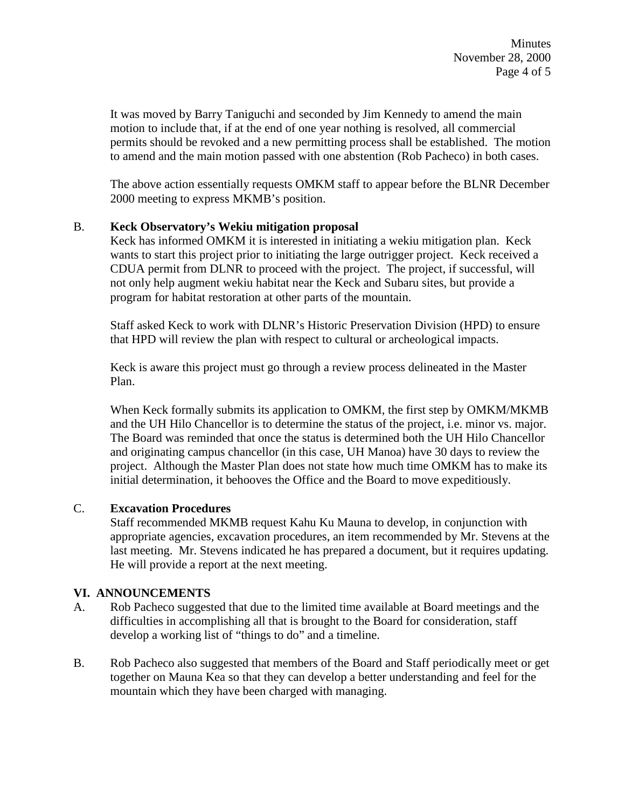It was moved by Barry Taniguchi and seconded by Jim Kennedy to amend the main motion to include that, if at the end of one year nothing is resolved, all commercial permits should be revoked and a new permitting process shall be established. The motion to amend and the main motion passed with one abstention (Rob Pacheco) in both cases.

The above action essentially requests OMKM staff to appear before the BLNR December 2000 meeting to express MKMB's position.

## B. **Keck Observatory's Wekiu mitigation proposal**

Keck has informed OMKM it is interested in initiating a wekiu mitigation plan. Keck wants to start this project prior to initiating the large outrigger project. Keck received a CDUA permit from DLNR to proceed with the project. The project, if successful, will not only help augment wekiu habitat near the Keck and Subaru sites, but provide a program for habitat restoration at other parts of the mountain.

Staff asked Keck to work with DLNR's Historic Preservation Division (HPD) to ensure that HPD will review the plan with respect to cultural or archeological impacts.

Keck is aware this project must go through a review process delineated in the Master Plan.

When Keck formally submits its application to OMKM, the first step by OMKM/MKMB and the UH Hilo Chancellor is to determine the status of the project, i.e. minor vs. major. The Board was reminded that once the status is determined both the UH Hilo Chancellor and originating campus chancellor (in this case, UH Manoa) have 30 days to review the project. Although the Master Plan does not state how much time OMKM has to make its initial determination, it behooves the Office and the Board to move expeditiously.

### C. **Excavation Procedures**

Staff recommended MKMB request Kahu Ku Mauna to develop, in conjunction with appropriate agencies, excavation procedures, an item recommended by Mr. Stevens at the last meeting. Mr. Stevens indicated he has prepared a document, but it requires updating. He will provide a report at the next meeting.

### **VI. ANNOUNCEMENTS**

- A. Rob Pacheco suggested that due to the limited time available at Board meetings and the difficulties in accomplishing all that is brought to the Board for consideration, staff develop a working list of "things to do" and a timeline.
- B. Rob Pacheco also suggested that members of the Board and Staff periodically meet or get together on Mauna Kea so that they can develop a better understanding and feel for the mountain which they have been charged with managing.